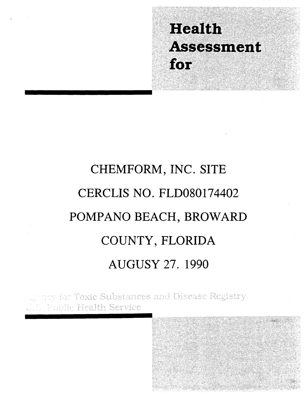## **Health** Assessment for

# CHEMFORM, INC. SITE CERCLIS NO. FLD080174402 POMPANO BEACH, BROWARD COUNTY, FLORIDA **AUGUSY 27. 1990**

nny for Toxic Substances and Disease Registry **Fublic Health Service** 

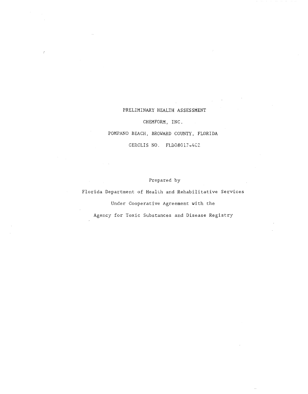## PRELIMINARY HEALTH ASSESSMENT

## CHEMFORM, INC.

POMPANO BEACH, BROWARD COUNTY, FL0RIDA

CERCLIS NO. FLD08017+4CZ

## Prepared by

Florida Department of Health and Rehabilitative Services

Under Cooperative Agreement with the

Agency for Toxic Substances and Disease Registry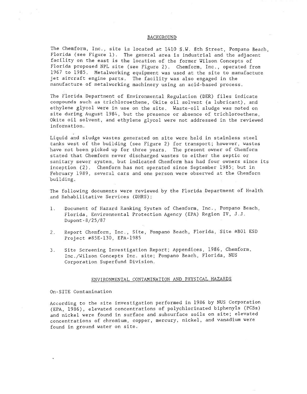#### BACKGROUND

The Chemform, Inc., site is located at 1410 *S.W.* 8th Street, Pompano Beach, Florida (see Figure 1). The general area is industrial and the adjacent facility on the east is the location of the former Wilson Concepts of Florida proposed NPL site (see Figure 2). Chemform, Inc., operated from 1967 to 1985. Metalworking equipment was used at the site to manufacture jet aircraft engine parts. The facility was also engaged in the manufacture of metalworking machinery using an acid-based process.

The Florida Department of Environmental Regulation (DER) files indicate compounds such as trichloroethene, Okite oil solvent (a lubricant), and ethylene glycol were in use on the site. Waste-oil sludge was noted on site during August 1984, but the presence or absence of trichloroethene, Okite oil solvent, and ethylene glycol were not addressed in the reviewed information.

Liquid and sludge wastes generated on site were held in stainless steel tanks west of the building (see Figure 2) for transport; however, wastes have not been picked up for three years. The present owner of Chemform stated that Chemform never discharged wastes to either the septic or sanitary sewer system, but indicated Chemform has had four owners since its inception (2). Chemform has not operated since September 1985; but in February 1989, several cars and one person were observed at the Chemform building.

The following documents were reviewed by the Florida Department of Health and Rehabilitative Services (DHRS):

- 1. Document of Hazard Ranking System of Chemform, Inc., Pompano Beach, Florida, Environmental Protection Agency (EPA) Region IV, J.J. Dupont-8/25/87
- 2. Report Chemform, Inc., Site, Pompano Beach, Florida, Site #BOl ESD Project #85E-130, EPA-1985
- 3. Site Screening Investigation Report; Appendices, 1986, Chemform, Inc./Wilson Concepts Inc. site; Pompano Beach, Florida, NUS Corporation Superfund Division.

#### ENVIRONMENTAL CONTAMINATION AND PHYSICAL HAZARDS

#### On-SITE Contamination

According to the site investigation performed in 1986 by NUS Corporation (EPA, 1986), elevated concentrations of polychlorinated biphenyls (PCBs) and nickel were found in surface and subsurface soils on site; elevated concentrations of chromium, copper, mercury, nickel, and vanadium were found in ground water on site.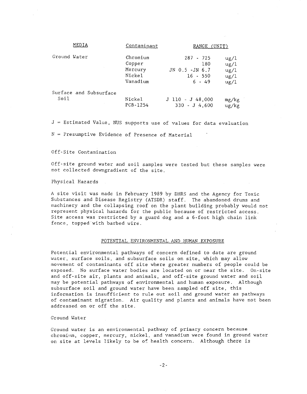| MEDIA                  | Contaminant | RANGE (UNIT)       |               |
|------------------------|-------------|--------------------|---------------|
| Ground Water           | Chromium    | $287 - 725$        | $\frac{u}{2}$ |
|                        | Copper      | 180                | $\frac{u}{2}$ |
|                        | Mercury     | JN 0.5 -JN 6.7     | $\frac{u}{2}$ |
|                        | Nickel      | $16 - 550$         | ug/l          |
|                        | Vanadium    | $6 - 49$           | ug/1          |
| Surface and Subsurface | Nickel      | $J$ 110 - J 48,000 | mg/kg         |
| Soil                   | PCB-1254    | $330 - J$ 4,600    | ug/kg         |

 $J =$  Estimated Value, NUS supports use of values for data evaluation

 $N =$  Presumptive Evidence of Presence of Material

#### Off-Site Contamination

Off-site ground water and soil samples were tested but these samples were not collected downgradient of the site.

Physical Hazards

A site visit was made in February 1989 by DHRS and the Agency for Toxic Substances and Disease Registry (ATSDR) staff. The abandoned drums and machinery and the collapsing roof on the plant building probably would not represent physical hazards for the public because of restricted access. Site access was restricted by a guard dog and a 6-foot high chain link fence, topped'with barbed wire.

#### POTENTIAL ENVIRONMENTAL AND HUMAN EXPOSURE

Potential environmental pathways of concern defined to date are ground water, surface soils, and subsurface soils on site, which may allow movement of contaminants off site where greater numbers of people could be exposed. No surface water bodies are located on or near the site. On-site and off-site air, plants and animals, and off-site ground water and soil may be potential pathways of environmental and human exposure. Although subsurface soil and ground water have been sampled off site, this information is insufficient to rule out soil and ground water as pathways of contaminant migration. Air quality and plants and animals have not been addressed on or off the site.

#### Ground Water

Ground water is an environmental pathway of primary concern because chromium, copper, mercury, nickel, and vanadium were found in ground water on site at levels likely to be of health concern. Although there is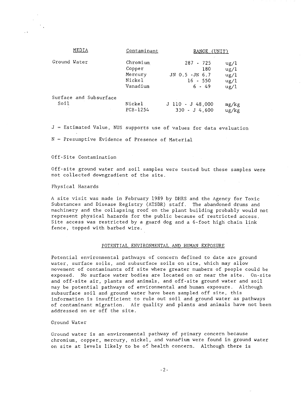| MEDIA                          | Contaminant                                         | RANGE (UNIT)                                                     |                                               |
|--------------------------------|-----------------------------------------------------|------------------------------------------------------------------|-----------------------------------------------|
| Ground Water                   | Chromium<br>Copper<br>Mercury<br>Nickel<br>Vanadium | z.<br>287 - 725<br>180<br>JN 0.5 -JN 6.7<br>16 - 550<br>$6 - 49$ | $\frac{u}{g}$<br>ug/l<br>ug/l<br>ug/1<br>ug/l |
| Surface and Subsurface<br>Soil | Nickel<br>PCB-1254                                  | J 110 - J 48,000<br>$330 - J$ 4.600                              | mg/kg<br>ug/kg                                |

 $J =$  Estimated Value, NUS supports use of values for data evaluation

 $N =$  Presumptive Evidence of Presence of Material

Off-Site Contamination

Off-site ground water and soil samples were tested but these samples were not collected downgradient of the site.

Physical Hazards

A site visit was made in February 1989 by DHRS and the Agency for Toxic Substances and Disease Registry (ATSDR) staff. The abandoned drums and machinery and the collapsing roof on the plant building probably would not represent physical hazards for the public because of restricted access. Site access was restricted by a guard dog and a  $6$ -foot high chain link fence, topped with barbed wire.

## POTENTIAL ENVIRONMENTAL AND HUMAN EXPOSURE

Potential environmental pathways of concern defined to date are ground water, surface soils, and subsurface soils on site, which may allow movement of contaminants off site where greater numbers of people could be exposed. No surface water bodies are located on or near the site. On-site and off-site air, plants and animals, and off-site ground water and soil may be potential pathways of environmental and human exposure. Although subsurface soil and ground water have been sampled off site, this information is insufficient to rule out soil and ground water as pathways of contaminant migration. Air quality and plants and animals have not been addressed on or off the site.

Ground Water

Ground water is an environmental pathway of primary concern because chromium, copper, mercury, nickel, and vanacium were found in ground water on site at levels likely to be of health concern. Although there is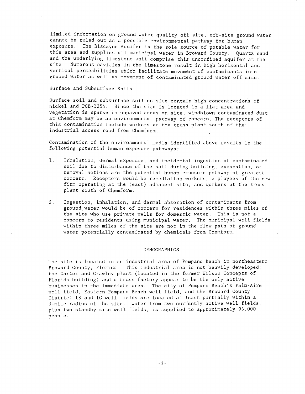limited information on ground water quality off site, off-site ground water cannot be ruled out as a possible environmental pathway for human exposure. The Biscayne Aquifer is the sole source of potable water for this area and supplies all municipal water in Broward County. Quartz sand and the underlying limestone unit comprise this unconfined aquifer at the site. Numerous cavities in the limestone result in high horizontal and vertical permeabilities which facilitate movement of contaminants into ground water as well as movement of contaminated ground water off site.

Surface and Subsurface Soils

Surface soil and subsurface soil on site contain high concentrations of nickel and PCB-12S4. Since the site is located in a flat area and vegetation is sparse in unpaved areas on site, windblown contaminated dust at Chemform may be an environmental pathway of concern. The receptors of this contamination include workers at the truss plant south of the industrial access road from Chemform.

Contamination of the environmental media identified above results in the following potential human exposure pathways:

- 1. Inhalation, dermal exposure, and incidental ingestion of contaminated soil due to disturbance of the soil during building, excavation, or removal actions are the potential human exposure pathway of greatest concern. Receptors would be remediation workers, employees of the new firm operating at the (east) adjacent site, and workers at the truss plant south of Chemform.
- 2. Ingestion, inhalation, and dermal absorption of contaminants from ground water would be of concern for residences within three miles of the site who use private wells for domestic water. This is not a concern to residents using municipal water. The municipal well fields within three miles of the site are not in the flow path of ground water potentially contaminated by chemicals from Chemform.

#### DEMOGRAPHICS

The site is located in an industrial area of Pompano Beach in northeastern Broward County, Florida. This industrial area is not heavily developed; the Carter and Crawley plant (located in the former Wilson Concepts of Florida building) and a truss factory appear to be the only active businesses in the immediate area. The city of Pompano Beach's Palm-Aire well field, Eastern Pompano Beach well field, and the Broward County District lB and lC well fields are located at least partially within a 3-mile radius of the site. Water from two currently active well fields, plus two standby site well fields, is supplied to approximately 93,000 people.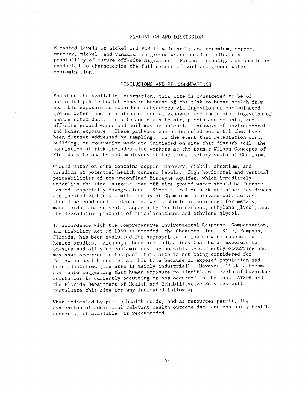#### EVALUATION AND DISCUSSION

Elevated levels of nickel and PCB-12S4 in soil; and chromium, copper, mercury, nickel, and vanadium in ground water on site indicate a possibility of future off-site migration. Further investigation should be conducted to characterize the full extent of soil and ground water contamination.

## CONCLUSIONS AND RECOMMENDATIONS

Based on the available information, this site is considered to be of potential public health concern because of the risk to human health from possible exposure to hazardous substances via ingestion of contaminated ground water, and inhalation or dermal exposure and incidental ingestion of contaminated dust. On-site and off-site air, plants and animals, and off-site ground water and soil may be potential pathways of environmental and human. exposure. These pathways cannot be ruled out until they have been further addressed by sampling. In the event that remediation work, building, or excavation work are initiated on site that disturb soil, the population at risk includes site workers at the former Wilson Concepts of Florida site nearby and employees of the truss factory south of Chemform.

Ground water on site contains copper, mercury, nickel, chromium, and vanadium at potential health concern levels. High horizontal and vertical permeabilities of the unconfined Biscayne Aquifer, which immediately underlies the site, suggest that off-site ground water should be further tested, especially downgradient. Since a trailer park and other residences are located within a l-mile radius of Chemform, a private well survey should be conducted. Identified wells should be monitored for metals, metalloids, and solvents, especially trichloroethene, ethylene glycol, and the degradation products of trichloroethene and ethylene glycol.

In accordance with the Comprehensive Environmental Response, Compensation, and Liability Act of 1980 as amended, the Chemform, Inc., Site, Pompano, Florida, has been evaluated for appropriate follow-up with respect to health studies. Although there are indications that human exposure to on-site and off-site contaminants may possibly be currently occurring and may have occurred in the past, this site is not being considered for follow-up health studies at this time because no exposed population had been identified (the area is mainly industrial). However, if data become available suggesting that human exposure to significant levels of hazardous substances is currently occurring or has occurred in the past, ATSDR and the Florida Department of Health and Rehabilitative Services will reevaluate this site for any indicated follow-up.

When indicated by public health needs, and as resources permit, the evaluation of additional relevant health outcome data and community health concerns, if available, is recommended.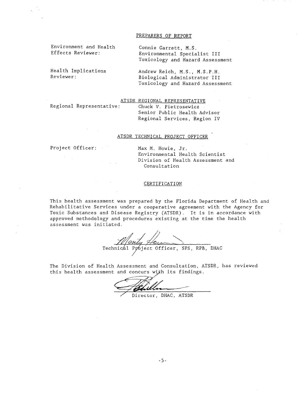#### PREPARERS OF REPORT

Environment and Health Effects Reviewer:

Health Implications Reviewer:

Connie Garrett, M.S. Environmental Specialist III Toxicology and Hazard Assessment

Andrew Reich, M.S., M.S.P.H. Biological Administrator III Toxicology and Hazard Assessment

ATSDR REGIONAL REPRESENTATIVE

Regional Representative:

Chuck V. Pietrosewicz Senior Public Health Advisor Regional Services, Region IV

## ATSDR TECHNICAL PROJECT OFFICER

Project Officer: Max M. Howie, Jr. Environmental Health Scientist Division of Health Assessment and Consultation

#### CERTIFICATION

This health assessment was prepared by the Florida Department of Health and Rehabilitative Services under a cooperative agreement with the Agency for Toxic Substances and Disease Registry (ATSDR). It is in accordance with approved methodology and procedures existing at the time the health assessment was initiated.

Monty Heures SPS, RPB, DHAC

The Division of Health Assessment and Consultation, ATSDR, has reviewed this health assessment and concurs with its findings.

Director, DHAC, ATSDR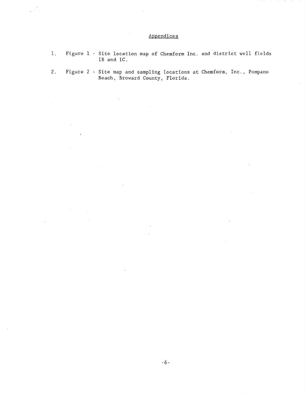## Appendices

 $\frac{1}{2}$  ,  $\frac{1}{2}$  ,

 $\mathcal{L}$ 

 $\mathcal{A}$ 

 $\ddot{\phantom{a}}$ 

- 1. Figure 1 Site location map of Chemform Inc. and district well fields 1B and IC.
- 2. Figure 2 Site map and sampling locations at Chemform, Inc., Pompano Beach, Broward County, Florida.

 $\bar{z}$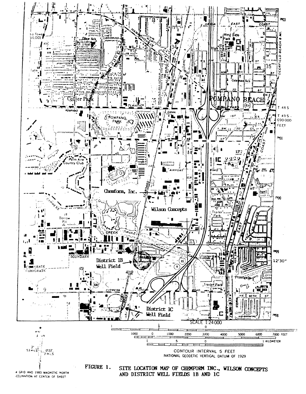

**JECLINATION AT CENTER OF SHEET**